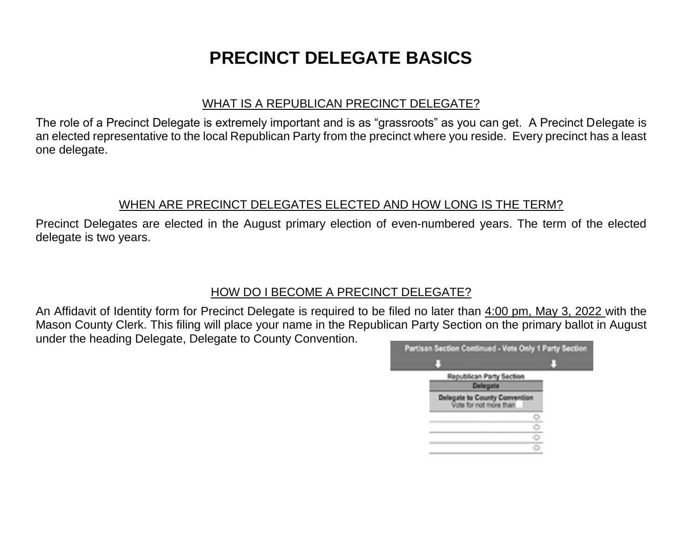# **PRECINCT DELEGATE BASICS**

#### WHAT IS A REPUBLICAN PRECINCT DELEGATE?

The role of a Precinct Delegate is extremely important and is as "grassroots" as you can get. A Precinct Delegate is an elected representative to the local Republican Party from the precinct where you reside. Every precinct has a least one delegate.

#### WHEN ARE PRECINCT DELEGATES ELECTED AND HOW LONG IS THE TERM?

Precinct Delegates are elected in the August primary election of even-numbered years. The term of the elected delegate is two years.

## HOW DO I BECOME A PRECINCT DELEGATE?

An Affidavit of Identity form for Precinct Delegate is required to be filed no later than 4:00 pm, May 3, 2022 with the Mason County Clerk. This filing will place your name in the Republican Party Section on the primary ballot in August under the heading Delegate, Delegate to County Convention.